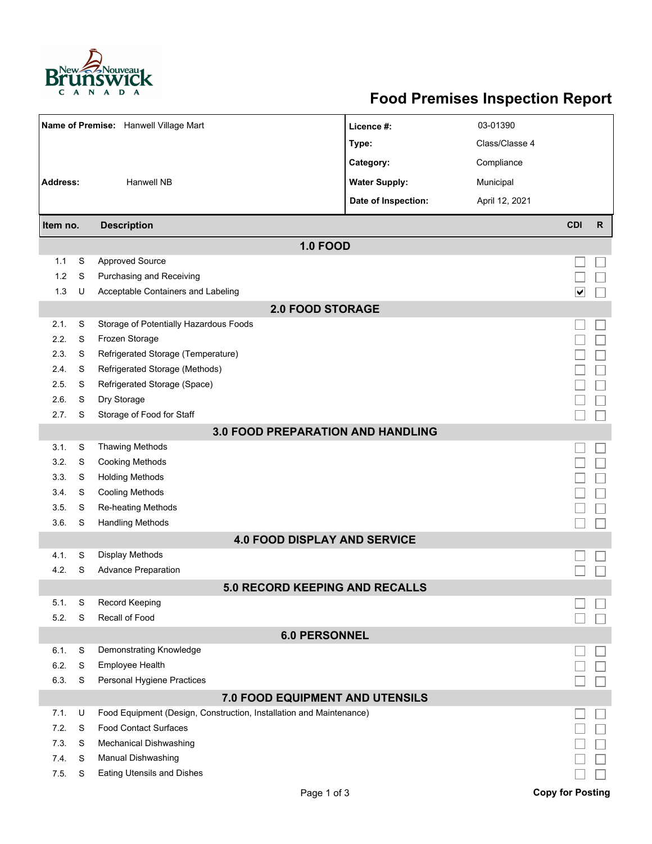

## **Food Premises Inspection Report**

| Name of Premise: Hanwell Village Mart    |                              |                                                                                                     | Licence #:           | 03-01390       |                              |              |  |  |  |  |
|------------------------------------------|------------------------------|-----------------------------------------------------------------------------------------------------|----------------------|----------------|------------------------------|--------------|--|--|--|--|
|                                          |                              |                                                                                                     | Type:                | Class/Classe 4 |                              |              |  |  |  |  |
|                                          |                              |                                                                                                     | Category:            | Compliance     |                              |              |  |  |  |  |
| <b>Address:</b>                          |                              | <b>Hanwell NB</b>                                                                                   | <b>Water Supply:</b> | Municipal      |                              |              |  |  |  |  |
|                                          |                              |                                                                                                     | Date of Inspection:  | April 12, 2021 |                              |              |  |  |  |  |
| Item no.                                 |                              | <b>Description</b>                                                                                  |                      |                | <b>CDI</b>                   | $\mathsf{R}$ |  |  |  |  |
| <b>1.0 FOOD</b>                          |                              |                                                                                                     |                      |                |                              |              |  |  |  |  |
| 1.1                                      | S                            | <b>Approved Source</b>                                                                              |                      |                |                              |              |  |  |  |  |
| 1.2                                      | S                            | Purchasing and Receiving                                                                            |                      |                |                              |              |  |  |  |  |
| 1.3                                      | U                            | Acceptable Containers and Labeling                                                                  |                      |                | $\boxed{\blacktriangledown}$ |              |  |  |  |  |
| <b>2.0 FOOD STORAGE</b>                  |                              |                                                                                                     |                      |                |                              |              |  |  |  |  |
| 2.1.                                     | S                            | Storage of Potentially Hazardous Foods                                                              |                      |                |                              |              |  |  |  |  |
| 2.2.                                     | S                            | Frozen Storage                                                                                      |                      |                |                              |              |  |  |  |  |
| 2.3.                                     | S                            | Refrigerated Storage (Temperature)                                                                  |                      |                |                              |              |  |  |  |  |
| 2.4.                                     | S                            | Refrigerated Storage (Methods)                                                                      |                      |                |                              |              |  |  |  |  |
| 2.5.                                     | S                            | Refrigerated Storage (Space)                                                                        |                      |                |                              |              |  |  |  |  |
| 2.6.                                     | S                            | Dry Storage                                                                                         |                      |                |                              |              |  |  |  |  |
| 2.7.                                     | S                            | Storage of Food for Staff                                                                           |                      |                |                              |              |  |  |  |  |
| <b>3.0 FOOD PREPARATION AND HANDLING</b> |                              |                                                                                                     |                      |                |                              |              |  |  |  |  |
| 3.1.                                     | S                            | <b>Thawing Methods</b>                                                                              |                      |                |                              |              |  |  |  |  |
| 3.2.                                     | S                            | <b>Cooking Methods</b>                                                                              |                      |                |                              |              |  |  |  |  |
| 3.3.                                     | S                            | <b>Holding Methods</b>                                                                              |                      |                |                              |              |  |  |  |  |
| 3.4.                                     | S                            | <b>Cooling Methods</b>                                                                              |                      |                |                              |              |  |  |  |  |
| 3.5.                                     | S                            | Re-heating Methods                                                                                  |                      |                |                              |              |  |  |  |  |
| 3.6.                                     | S<br><b>Handling Methods</b> |                                                                                                     |                      |                |                              |              |  |  |  |  |
|                                          |                              | <b>4.0 FOOD DISPLAY AND SERVICE</b>                                                                 |                      |                |                              |              |  |  |  |  |
| 4.1.                                     | S                            | Display Methods                                                                                     |                      |                |                              |              |  |  |  |  |
| 4.2.                                     | S                            | <b>Advance Preparation</b>                                                                          |                      |                |                              |              |  |  |  |  |
|                                          |                              | <b>5.0 RECORD KEEPING AND RECALLS</b>                                                               |                      |                |                              |              |  |  |  |  |
| 5.1.                                     | S                            | Record Keeping                                                                                      |                      |                |                              |              |  |  |  |  |
| 5.2.                                     | S                            | Recall of Food                                                                                      |                      |                |                              |              |  |  |  |  |
| <b>6.0 PERSONNEL</b>                     |                              |                                                                                                     |                      |                |                              |              |  |  |  |  |
| 6.1.                                     | S                            | Demonstrating Knowledge                                                                             |                      |                |                              |              |  |  |  |  |
| 6.2.                                     | S                            | Employee Health                                                                                     |                      |                |                              |              |  |  |  |  |
| 6.3.                                     | S                            | Personal Hygiene Practices                                                                          |                      |                |                              |              |  |  |  |  |
| 7.0 FOOD EQUIPMENT AND UTENSILS          |                              |                                                                                                     |                      |                |                              |              |  |  |  |  |
| 7.1.                                     | U                            | Food Equipment (Design, Construction, Installation and Maintenance)<br><b>Food Contact Surfaces</b> |                      |                |                              |              |  |  |  |  |
| 7.2.<br>7.3.                             | S<br>S                       | <b>Mechanical Dishwashing</b>                                                                       |                      |                |                              |              |  |  |  |  |
| 7.4.                                     | S                            | Manual Dishwashing                                                                                  |                      |                |                              |              |  |  |  |  |
| 7.5.                                     | S                            | <b>Eating Utensils and Dishes</b>                                                                   |                      |                |                              |              |  |  |  |  |
|                                          |                              |                                                                                                     |                      |                |                              |              |  |  |  |  |
|                                          |                              | Page 1 of 3                                                                                         |                      |                | <b>Copy for Posting</b>      |              |  |  |  |  |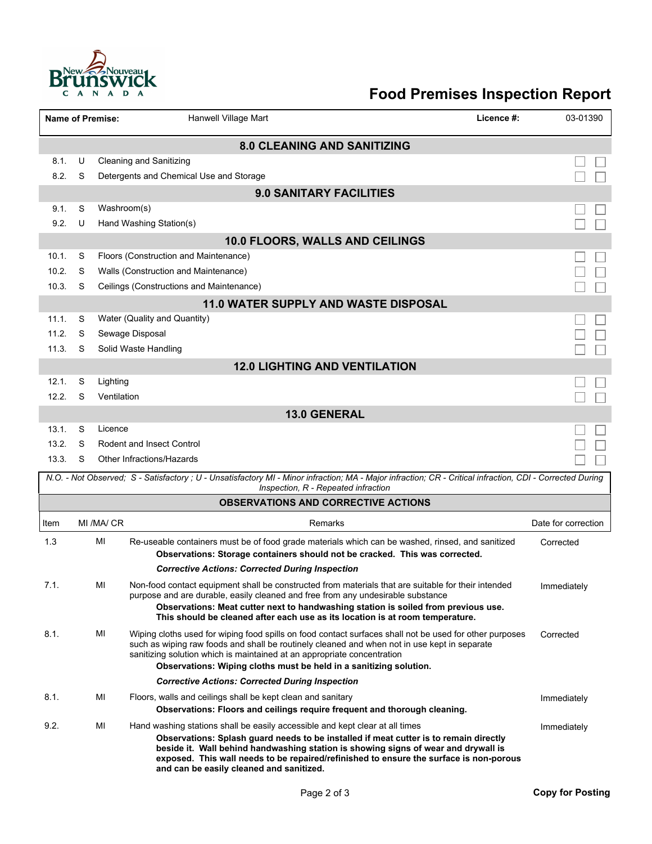

## **Food Premises Inspection Report**

|                                                                                                                                                                                                 |        | <b>Name of Premise:</b> | <b>Hanwell Village Mart</b><br>Licence #:                                                                                                                                                                                                                                                                         | 03-01390            |  |  |  |  |  |  |
|-------------------------------------------------------------------------------------------------------------------------------------------------------------------------------------------------|--------|-------------------------|-------------------------------------------------------------------------------------------------------------------------------------------------------------------------------------------------------------------------------------------------------------------------------------------------------------------|---------------------|--|--|--|--|--|--|
| <b>8.0 CLEANING AND SANITIZING</b>                                                                                                                                                              |        |                         |                                                                                                                                                                                                                                                                                                                   |                     |  |  |  |  |  |  |
| 8.1.                                                                                                                                                                                            | U      |                         | <b>Cleaning and Sanitizing</b>                                                                                                                                                                                                                                                                                    |                     |  |  |  |  |  |  |
| 8.2.                                                                                                                                                                                            | S      |                         | Detergents and Chemical Use and Storage                                                                                                                                                                                                                                                                           |                     |  |  |  |  |  |  |
| <b>9.0 SANITARY FACILITIES</b>                                                                                                                                                                  |        |                         |                                                                                                                                                                                                                                                                                                                   |                     |  |  |  |  |  |  |
| 9.1.                                                                                                                                                                                            | S      |                         | Washroom(s)                                                                                                                                                                                                                                                                                                       |                     |  |  |  |  |  |  |
| 9.2.                                                                                                                                                                                            | U      |                         | Hand Washing Station(s)                                                                                                                                                                                                                                                                                           |                     |  |  |  |  |  |  |
| 10.0 FLOORS, WALLS AND CEILINGS                                                                                                                                                                 |        |                         |                                                                                                                                                                                                                                                                                                                   |                     |  |  |  |  |  |  |
| 10.1.                                                                                                                                                                                           | S      |                         | Floors (Construction and Maintenance)                                                                                                                                                                                                                                                                             |                     |  |  |  |  |  |  |
| 10.2.                                                                                                                                                                                           | S      |                         | Walls (Construction and Maintenance)                                                                                                                                                                                                                                                                              |                     |  |  |  |  |  |  |
| 10.3.                                                                                                                                                                                           | S      |                         | Ceilings (Constructions and Maintenance)                                                                                                                                                                                                                                                                          |                     |  |  |  |  |  |  |
| <b>11.0 WATER SUPPLY AND WASTE DISPOSAL</b>                                                                                                                                                     |        |                         |                                                                                                                                                                                                                                                                                                                   |                     |  |  |  |  |  |  |
| 11.1.                                                                                                                                                                                           | S      |                         | Water (Quality and Quantity)                                                                                                                                                                                                                                                                                      |                     |  |  |  |  |  |  |
| 11.2.                                                                                                                                                                                           | S      |                         | Sewage Disposal                                                                                                                                                                                                                                                                                                   |                     |  |  |  |  |  |  |
| 11.3.                                                                                                                                                                                           | S      |                         | Solid Waste Handling                                                                                                                                                                                                                                                                                              |                     |  |  |  |  |  |  |
|                                                                                                                                                                                                 |        |                         | <b>12.0 LIGHTING AND VENTILATION</b>                                                                                                                                                                                                                                                                              |                     |  |  |  |  |  |  |
| 12.1.                                                                                                                                                                                           | S      | Lighting                |                                                                                                                                                                                                                                                                                                                   |                     |  |  |  |  |  |  |
| 12.2.                                                                                                                                                                                           | S      | Ventilation             |                                                                                                                                                                                                                                                                                                                   |                     |  |  |  |  |  |  |
| <b>13.0 GENERAL</b>                                                                                                                                                                             |        |                         |                                                                                                                                                                                                                                                                                                                   |                     |  |  |  |  |  |  |
| 13.1.<br>13.2.                                                                                                                                                                                  | S<br>S | Licence                 | <b>Rodent and Insect Control</b>                                                                                                                                                                                                                                                                                  |                     |  |  |  |  |  |  |
| 13.3.                                                                                                                                                                                           | S      |                         | Other Infractions/Hazards                                                                                                                                                                                                                                                                                         |                     |  |  |  |  |  |  |
|                                                                                                                                                                                                 |        |                         |                                                                                                                                                                                                                                                                                                                   |                     |  |  |  |  |  |  |
| N.O. - Not Observed; S - Satisfactory; U - Unsatisfactory MI - Minor infraction; MA - Major infraction; CR - Critical infraction, CDI - Corrected During<br>Inspection, R - Repeated infraction |        |                         |                                                                                                                                                                                                                                                                                                                   |                     |  |  |  |  |  |  |
| <b>OBSERVATIONS AND CORRECTIVE ACTIONS</b>                                                                                                                                                      |        |                         |                                                                                                                                                                                                                                                                                                                   |                     |  |  |  |  |  |  |
| Item                                                                                                                                                                                            |        | MI /MA/ CR              | Remarks                                                                                                                                                                                                                                                                                                           | Date for correction |  |  |  |  |  |  |
| 1.3                                                                                                                                                                                             |        | ΜI                      | Re-useable containers must be of food grade materials which can be washed, rinsed, and sanitized                                                                                                                                                                                                                  | Corrected           |  |  |  |  |  |  |
|                                                                                                                                                                                                 |        |                         | Observations: Storage containers should not be cracked. This was corrected.                                                                                                                                                                                                                                       |                     |  |  |  |  |  |  |
|                                                                                                                                                                                                 |        |                         | <b>Corrective Actions: Corrected During Inspection</b>                                                                                                                                                                                                                                                            |                     |  |  |  |  |  |  |
| 7.1.                                                                                                                                                                                            |        | MI                      | Non-food contact equipment shall be constructed from materials that are suitable for their intended<br>purpose and are durable, easily cleaned and free from any undesirable substance                                                                                                                            | Immediately         |  |  |  |  |  |  |
|                                                                                                                                                                                                 |        |                         | Observations: Meat cutter next to handwashing station is soiled from previous use.                                                                                                                                                                                                                                |                     |  |  |  |  |  |  |
|                                                                                                                                                                                                 |        |                         | This should be cleaned after each use as its location is at room temperature.                                                                                                                                                                                                                                     |                     |  |  |  |  |  |  |
| 8.1.                                                                                                                                                                                            |        | MI                      | Wiping cloths used for wiping food spills on food contact surfaces shall not be used for other purposes<br>such as wiping raw foods and shall be routinely cleaned and when not in use kept in separate                                                                                                           | Corrected           |  |  |  |  |  |  |
|                                                                                                                                                                                                 |        |                         | sanitizing solution which is maintained at an appropriate concentration                                                                                                                                                                                                                                           |                     |  |  |  |  |  |  |
|                                                                                                                                                                                                 |        |                         | Observations: Wiping cloths must be held in a sanitizing solution.                                                                                                                                                                                                                                                |                     |  |  |  |  |  |  |
|                                                                                                                                                                                                 |        |                         | <b>Corrective Actions: Corrected During Inspection</b>                                                                                                                                                                                                                                                            |                     |  |  |  |  |  |  |
| 8.1.                                                                                                                                                                                            |        | MI                      | Floors, walls and ceilings shall be kept clean and sanitary<br>Observations: Floors and ceilings require frequent and thorough cleaning.                                                                                                                                                                          | Immediately         |  |  |  |  |  |  |
| 9.2.                                                                                                                                                                                            |        | MI                      | Hand washing stations shall be easily accessible and kept clear at all times                                                                                                                                                                                                                                      | Immediately         |  |  |  |  |  |  |
|                                                                                                                                                                                                 |        |                         | Observations: Splash guard needs to be installed if meat cutter is to remain directly<br>beside it. Wall behind handwashing station is showing signs of wear and drywall is<br>exposed. This wall needs to be repaired/refinished to ensure the surface is non-porous<br>and can be easily cleaned and sanitized. |                     |  |  |  |  |  |  |